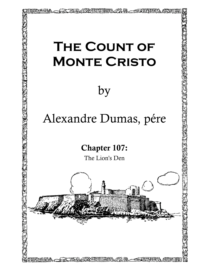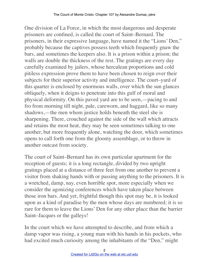One division of La Force, in which the most dangerous and desperate prisoners are confined, is called the court of Saint–Bernard. The prisoners, in their expressive language, have named it the "Lions' Den," probably because the captives possess teeth which frequently gnaw the bars, and sometimes the keepers also. It is a prison within a prison; the walls are double the thickness of the rest. The gratings are every day carefully examined by jailers, whose herculean proportions and cold pitiless expression prove them to have been chosen to reign over their subjects for their superior activity and intelligence. The court–yard of this quarter is enclosed by enormous walls, over which the sun glances obliquely, when it deigns to penetrate into this gulf of moral and physical deformity. On this paved yard are to be seen,—pacing to and fro from morning till night, pale, careworn, and haggard, like so many shadows,—the men whom justice holds beneath the steel she is sharpening. There, crouched against the side of the wall which attracts and retains the most heat, they may be seen sometimes talking to one another, but more frequently alone, watching the door, which sometimes opens to call forth one from the gloomy assemblage, or to throw in another outcast from society.

The court of Saint–Bernard has its own particular apartment for the reception of guests; it is a long rectangle, divided by two upright gratings placed at a distance of three feet from one another to prevent a visitor from shaking hands with or passing anything to the prisoners. It is a wretched, damp, nay, even horrible spot, more especially when we consider the agonizing conferences which have taken place between those iron bars. And yet, frightful though this spot may be, it is looked upon as a kind of paradise by the men whose days are numbered; it is so rare for them to leave the Lions' Den for any other place than the barrier Saint–Jacques or the galleys!

In the court which we have attempted to describe, and from which a damp vapor was rising, a young man with his hands in his pockets, who had excited much curiosity among the inhabitants of the "Den," might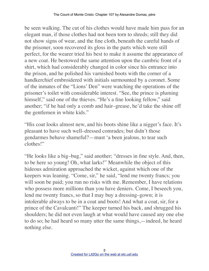be seen walking. The cut of his clothes would have made him pass for an elegant man, if those clothes had not been torn to shreds; still they did not show signs of wear, and the fine cloth, beneath the careful hands of the prisoner, soon recovered its gloss in the parts which were still perfect, for the wearer tried his best to make it assume the appearance of a new coat. He bestowed the same attention upon the cambric front of a shirt, which had considerably changed in color since his entrance into the prison, and he polished his varnished boots with the corner of a handkerchief embroidered with initials surmounted by a coronet. Some of the inmates of the "Lions' Den" were watching the operations of the prisoner's toilet with considerable interest. "See, the prince is pluming himself," said one of the thieves. "He's a fine looking fellow," said another; "if he had only a comb and hair–grease, he'd take the shine off the gentlemen in white kids."

"His coat looks almost new, and his boots shine like a nigger's face. It's pleasant to have such well–dressed comrades; but didn't those gendarmes behave shameful?—must 'a been jealous, to tear such clothes!"

"He looks like a big–bug," said another; "dresses in fine style. And, then, to be here so young! Oh, what larks!" Meanwhile the object of this hideous admiration approached the wicket, against which one of the keepers was leaning. "Come, sir," he said, "lend me twenty francs; you will soon be paid; you run no risks with me. Remember, I have relations who possess more millions than you have deniers. Come, I beseech you, lend me twenty francs, so that I may buy a dressing–gown; it is intolerable always to be in a coat and boots! And what a coat, sir, for a prince of the Cavalcanti!" The keeper turned his back, and shrugged his shoulders; he did not even laugh at what would have caused any one else to do so; he had heard so many utter the same things,—indeed, he heard nothing else.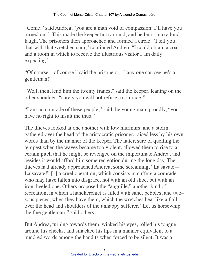"Come," said Andrea, "you are a man void of compassion; I'll have you turned out." This made the keeper turn around, and he burst into a loud laugh. The prisoners then approached and formed a circle. "I tell you that with that wretched sum," continued Andrea, "I could obtain a coat, and a room in which to receive the illustrious visitor I am daily expecting."

"Of course—of course," said the prisoners;—"any one can see he's a gentleman!"

"Well, then, lend him the twenty francs," said the keeper, leaning on the other shoulder; "surely you will not refuse a comrade!"

"I am no comrade of these people," said the young man, proudly, "you have no right to insult me thus."

The thieves looked at one another with low murmurs, and a storm gathered over the head of the aristocratic prisoner, raised less by his own words than by the manner of the keeper. The latter, sure of quelling the tempest when the waves became too violent, allowed them to rise to a certain pitch that he might be revenged on the importunate Andrea, and besides it would afford him some recreation during the long day. The thieves had already approached Andrea, some screaming, "La savate— La savate!" [\*] a cruel operation, which consists in cuffing a comrade who may have fallen into disgrace, not with an old shoe, but with an iron–heeled one. Others proposed the "anguille," another kind of recreation, in which a handkerchief is filled with sand, pebbles, and two– sous pieces, when they have them, which the wretches beat like a flail over the head and shoulders of the unhappy sufferer. "Let us horsewhip the fine gentleman!" said others.

But Andrea, turning towards them, winked his eyes, rolled his tongue around his cheeks, and smacked his lips in a manner equivalent to a hundred words among the bandits when forced to be silent. It was a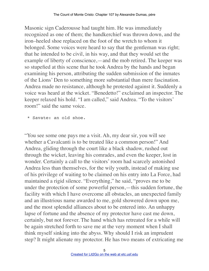Masonic sign Caderousse had taught him. He was immediately recognized as one of them; the handkerchief was thrown down, and the iron–heeled shoe replaced on the foot of the wretch to whom it belonged. Some voices were heard to say that the gentleman was right; that he intended to be civil, in his way, and that they would set the example of liberty of conscience,—and the mob retired. The keeper was so stupefied at this scene that he took Andrea by the hands and began examining his person, attributing the sudden submission of the inmates of the Lions' Den to something more substantial than mere fascination. Andrea made no resistance, although he protested against it. Suddenly a voice was heard at the wicket. "Benedetto!" exclaimed an inspector. The keeper relaxed his hold. "I am called," said Andrea. "To the visitors' room!" said the same voice.

\* Savate: an old shoe.

"You see some one pays me a visit. Ah, my dear sir, you will see whether a Cavalcanti is to be treated like a common person!" And Andrea, gliding through the court like a black shadow, rushed out through the wicket, leaving his comrades, and even the keeper, lost in wonder. Certainly a call to the visitors' room had scarcely astonished Andrea less than themselves, for the wily youth, instead of making use of his privilege of waiting to be claimed on his entry into La Force, had maintained a rigid silence. "Everything," he said, "proves me to be under the protection of some powerful person,—this sudden fortune, the facility with which I have overcome all obstacles, an unexpected family and an illustrious name awarded to me, gold showered down upon me, and the most splendid alliances about to be entered into. An unhappy lapse of fortune and the absence of my protector have cast me down, certainly, but not forever. The hand which has retreated for a while will be again stretched forth to save me at the very moment when I shall think myself sinking into the abyss. Why should I risk an imprudent step? It might alienate my protector. He has two means of extricating me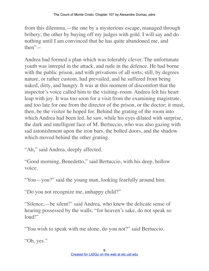from this dilemma,—the one by a mysterious escape, managed through bribery; the other by buying off my judges with gold. I will say and do nothing until I am convinced that he has quite abandoned me, and then"—

Andrea had formed a plan which was tolerably clever. The unfortunate youth was intrepid in the attack, and rude in the defence. He had borne with the public prison, and with privations of all sorts; still, by degrees nature, or rather custom, had prevailed, and he suffered from being naked, dirty, and hungry. It was at this moment of discomfort that the inspector's voice called him to the visiting–room. Andrea felt his heart leap with joy. It was too soon for a visit from the examining magistrate, and too late for one from the director of the prison, or the doctor; it must, then, be the visitor he hoped for. Behind the grating of the room into which Andrea had been led, he saw, while his eyes dilated with surprise, the dark and intelligent face of M. Bertuccio, who was also gazing with sad astonishment upon the iron bars, the bolted doors, and the shadow which moved behind the other grating.

"Ah," said Andrea, deeply affected.

"Good morning, Benedetto," said Bertuccio, with his deep, hollow voice.

"You—you?" said the young man, looking fearfully around him.

"Do you not recognize me, unhappy child?"

"Silence,—be silent!" said Andrea, who knew the delicate sense of hearing possessed by the walls; "for heaven's sake, do not speak so loud!"

"You wish to speak with me alone, do you not?" said Bertuccio.

"Oh, yes."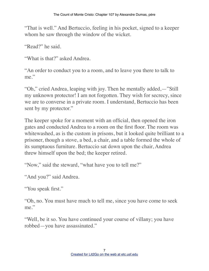"That is well." And Bertuccio, feeling in his pocket, signed to a keeper whom he saw through the window of the wicket.

"Read?" he said.

"What is that?" asked Andrea.

"An order to conduct you to a room, and to leave you there to talk to me."

"Oh," cried Andrea, leaping with joy. Then he mentally added,—"Still my unknown protector! I am not forgotten. They wish for secrecy, since we are to converse in a private room. I understand, Bertuccio has been sent by my protector."

The keeper spoke for a moment with an official, then opened the iron gates and conducted Andrea to a room on the first floor. The room was whitewashed, as is the custom in prisons, but it looked quite brilliant to a prisoner, though a stove, a bed, a chair, and a table formed the whole of its sumptuous furniture. Bertuccio sat down upon the chair, Andrea threw himself upon the bed; the keeper retired.

"Now," said the steward, "what have you to tell me?"

"And you?" said Andrea.

"You speak first."

"Oh, no. You must have much to tell me, since you have come to seek me."

"Well, be it so. You have continued your course of villany; you have robbed—you have assassinated."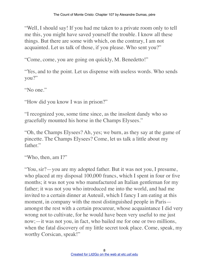"Well, I should say! If you had me taken to a private room only to tell me this, you might have saved yourself the trouble. I know all these things. But there are some with which, on the contrary, I am not acquainted. Let us talk of those, if you please. Who sent you?"

"Come, come, you are going on quickly, M. Benedetto!"

"Yes, and to the point. Let us dispense with useless words. Who sends you?"

"No one."

"How did you know I was in prison?"

"I recognized you, some time since, as the insolent dandy who so gracefully mounted his horse in the Champs Elysees."

"Oh, the Champs Elysees? Ah, yes; we burn, as they say at the game of pincette. The Champs Elysees? Come, let us talk a little about my father."

```
"Who, then, am I?"
```
"You, sir?—you are my adopted father. But it was not you, I presume, who placed at my disposal 100,000 francs, which I spent in four or five months; it was not you who manufactured an Italian gentleman for my father; it was not you who introduced me into the world, and had me invited to a certain dinner at Auteuil, which I fancy I am eating at this moment, in company with the most distinguished people in Paris amongst the rest with a certain procureur, whose acquaintance I did very wrong not to cultivate, for he would have been very useful to me just now;—it was not you, in fact, who bailed me for one or two millions, when the fatal discovery of my little secret took place. Come, speak, my worthy Corsican, speak!"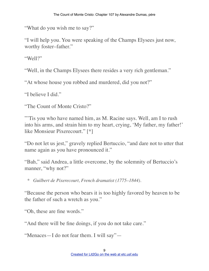"What do you wish me to say?"

"I will help you. You were speaking of the Champs Elysees just now, worthy foster–father."

"Well?"

"Well, in the Champs Elysees there resides a very rich gentleman."

"At whose house you robbed and murdered, did you not?"

"I believe I did."

"The Count of Monte Cristo?"

"'Tis you who have named him, as M. Racine says. Well, am I to rush into his arms, and strain him to my heart, crying, 'My father, my father!' like Monsieur Pixerecourt." [\*]

"Do not let us jest," gravely replied Bertuccio, "and dare not to utter that name again as you have pronounced it."

"Bah," said Andrea, a little overcome, by the solemnity of Bertuccio's manner, "why not?"

*\* Guilbert de Pixerecourt, French dramatist (1775–1844).*

"Because the person who bears it is too highly favored by heaven to be the father of such a wretch as you."

"Oh, these are fine words."

"And there will be fine doings, if you do not take care."

"Menaces—I do not fear them. I will say"—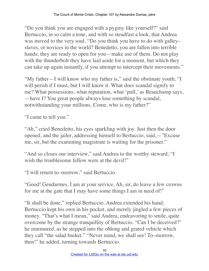"Do you think you are engaged with a pygmy like yourself?" said Bertuccio, in so calm a tone, and with so steadfast a look, that Andrea was moved to the very soul. "Do you think you have to do with galley– slaves, or novices in the world? Benedetto, you are fallen into terrible hands; they are ready to open for you—make use of them. Do not play with the thunderbolt they have laid aside for a moment, but which they can take up again instantly, if you attempt to intercept their movements."

"My father—I will know who my father is," said the obstinate youth; "I will perish if I must, but I will know it. What does scandal signify to me? What possessions, what reputation, what 'pull,' as Beauchamp says, —have I? You great people always lose something by scandal, notwithstanding your millions. Come, who is my father?"

"I came to tell you."

"Ah," cried Benedetto, his eyes sparkling with joy. Just then the door opened, and the jailer, addressing himself to Bertuccio, said,—"Excuse me, sir, but the examining magistrate is waiting for the prisoner."

"And so closes our interview," said Andrea to the worthy steward; "I wish the troublesome fellow were at the devil!"

"I will return to–morrow," said Bertuccio.

"Good! Gendarmes, I am at your service. Ah, sir, do leave a few crowns for me at the gate that I may have some things I am in need of!"

"It shall be done," replied Bertuccio. Andrea extended his hand; Bertuccio kept his own in his pocket, and merely jingled a few pieces of money. "That's what I mean," said Andrea, endeavoring to smile, quite overcome by the strange tranquillity of Bertuccio. "Can I be deceived?" he murmured, as he stepped into the oblong and grated vehicle which they call "the salad basket." "Never mind, we shall see! To–morrow, then!" he added, turning towards Bertuccio.